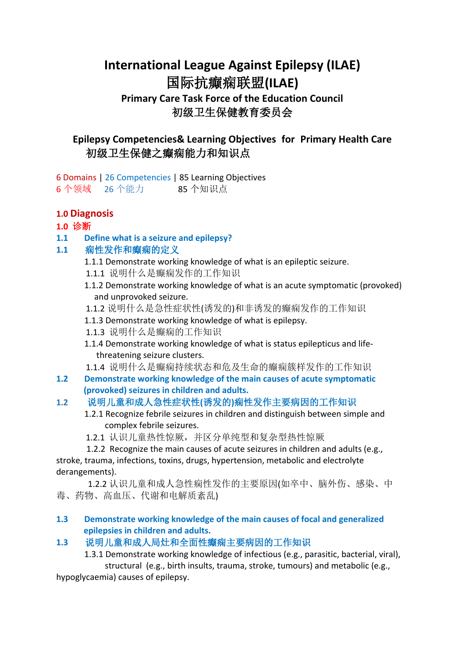# **International League Against Epilepsy (ILAE)** 国际抗癫痫联盟**(ILAE) Primary Care Task Force of the Education Council** 初级卫生保健教育委员会

# **Epilepsy Competencies& Learning Objectives for Primary Health Care**  初级卫生保健之癫痫能力和知识点

6 Domains | 26 Competencies | 85 Learning Objectives 6 个领域 26 个能力 85 个知识点

# **1.0 Diagnosis**

# **1.0** 诊断

**1.1 Define what is a seizure and epilepsy?**

# **1.1** 痫性发作和癫痫的定义

- 1.1.1 Demonstrate working knowledge of what is an epileptic seizure.
- 1.1.1 说明什么是癫痫发作的工作知识
- 1.1.2 Demonstrate working knowledge of what is an acute symptomatic (provoked) and unprovoked seizure.
- 1.1.2 说明什么是急性症状性(诱发的)和非诱发的癫痫发作的工作知识
- 1.1.3 Demonstrate working knowledge of what is epilepsy.
- 1.1.3 说明什么是癫痫的工作知识
- 1.1.4 Demonstrate working knowledge of what is status epilepticus and life threatening seizure clusters.
- 1.1.4 说明什么是癫痫持续状态和危及生命的癫痫簇样发作的工作知识
- **1.2 Demonstrate working knowledge of the main causes of acute symptomatic (provoked) seizures in children and adults.**

# **1.2** 说明儿童和成人急性症状性**(**诱发的**)**痫性发作主要病因的工作知识

- 1.2.1 Recognize febrile seizures in children and distinguish between simple and complex febrile seizures.
- 1.2.1 认识儿童热性惊厥,并区分单纯型和复杂型热性惊厥

1.2.2 Recognize the main causes of acute seizures in children and adults (e.g., stroke, trauma, infections, toxins, drugs, hypertension, metabolic and electrolyte derangements).

 1.2.2 认识儿童和成人急性痫性发作的主要原因(如卒中、脑外伤、感染、中 毒、药物、高血压、代谢和电解质紊乱)

### **1.3 Demonstrate working knowledge of the main causes of focal and generalized epilepsies in children and adults.**

# **1.3** 说明儿童和成人局灶和全面性癫痫主要病因的工作知识

1.3.1 Demonstrate working knowledge of infectious (e.g., parasitic, bacterial, viral), structural (e.g., birth insults, trauma, stroke, tumours) and metabolic (e.g.,

hypoglycaemia) causes of epilepsy.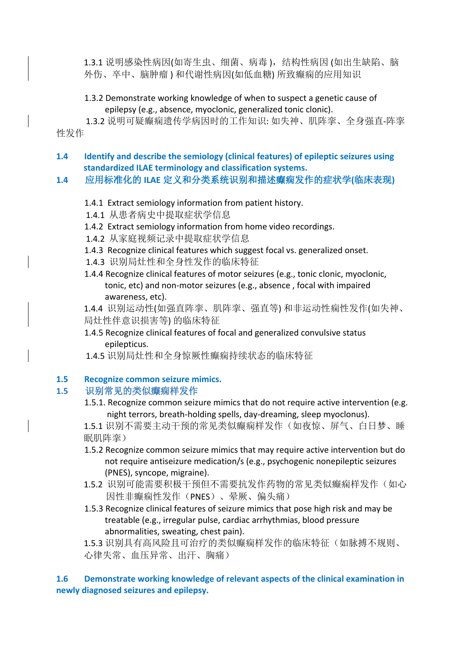1.3.1 说明感染性病因(如寄生虫、细菌、病毒), 结构性病因 (如出生缺陷、脑 外伤、卒中、脑肿瘤 ) 和代谢性病因(如低血糖) 所致癫痫的应用知识

### 1.3.2 Demonstrate working knowledge of when to suspect a genetic cause of epilepsy (e.g., absence, myoclonic, generalized tonic clonic).

 1.3.2 说明可疑癫痫遗传学病因时的工作知识: 如失神、肌阵挛、全身强直-阵挛 性发作

# **1.4 Identify and describe the semiology (clinical features) of epileptic seizures using standardized ILAE terminology and classification systems.**

# **1.4** 应用标准化的 **ILAE** 定义和分类系统识别和描述癫痫发作的症状学**(**临床表现**)**

# 1.4.1 Extract semiology information from patient history.

- 1.4.1 从患者病史中提取症状学信息
- 1.4.2 Extract semiology information from home video recordings.
- 1.4.2 从家庭视频记录中提取症状学信息
- 1.4.3 Recognize clinical features which suggest focal vs. generalized onset.
- 1.4.3 识别局灶性和全身性发作的临床特征
- 1.4.4 Recognize clinical features of motor seizures (e.g., tonic clonic, myoclonic, tonic, etc) and non-motor seizures (e.g., absence , focal with impaired awareness, etc).
- 1.4.4 识别运动性(如强直阵挛、肌阵挛、强直等) 和非运动性痫性发作(如失神、 局灶性伴意识损害等) 的临床特征
- 1.4.5 Recognize clinical features of focal and generalized convulsive status epilepticus.
- 1.4.5 识别局灶性和全身惊厥性癫痫持续状态的临床特征

# **1.5 Recognize common seizure mimics.**

### 1.5 识别常见的类似癫痫样发作

1.5.1. Recognize common seizure mimics that do not require active intervention (e.g. night terrors, breath-holding spells, day-dreaming, sleep myoclonus).

1.5.1 识别不需要主动干预的常见类似癫痫样发作(如夜惊、屏气、白日梦、睡 眠肌阵挛)

- 1.5.2 Recognize common seizure mimics that may require active intervention but do not require antiseizure medication/s (e.g., psychogenic nonepileptic seizures (PNES), syncope, migraine).
- 1.5.2 识别可能需要积极干预但不需要抗发作药物的常见类似癫痫样发作(如心 因性非癫痫性发作(PNES)、晕厥、偏头痛)
- 1.5.3 Recognize clinical features of seizure mimics that pose high risk and may be treatable (e.g., irregular pulse, cardiac arrhythmias, blood pressure abnormalities, sweating, chest pain).

1.5.3 识别具有高风险且可治疗的类似癫痫样发作的临床特征(如脉搏不规则、 心律失常、血压异常、出汗、胸痛)

### **1.6 Demonstrate working knowledge of relevant aspects of the clinical examination in newly diagnosed seizures and epilepsy.**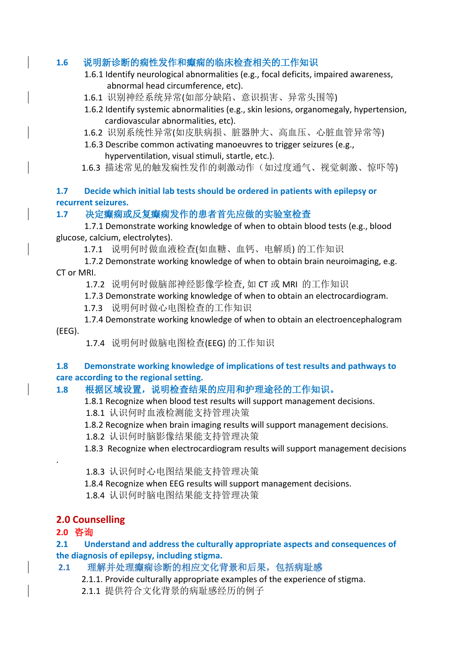# **1.6** 说明新诊断的痫性发作和癫痫的临床检查相关的工作知识

- 1.6.1 Identify neurological abnormalities (e.g., focal deficits, impaired awareness, abnormal head circumference, etc).
- 1.6.1 识别神经系统异常(如部分缺陷、意识损害、异常头围等)
- 1.6.2 Identify systemic abnormalities (e.g., skin lesions, organomegaly, hypertension, cardiovascular abnormalities, etc).
- 1.6.2 识别系统性异常(如皮肤病损、脏器肿大、高血压、心脏血管异常等)
- 1.6.3 Describe common activating manoeuvres to trigger seizures (e.g., hyperventilation, visual stimuli, startle, etc.).
- 1.6.3 描述常见的触发痫性发作的刺激动作(如过度通气、视觉刺激、惊吓等)

### **1.7 Decide which initial lab tests should be ordered in patients with epilepsy or recurrent seizures.**

# **1.7** 决定癫痫或反复癫痫发作的患者首先应做的实验室检查

1.7.1 Demonstrate working knowledge of when to obtain blood tests (e.g., blood glucose, calcium, electrolytes).

1.7.1 说明何时做血液检查(如血糖、血钙、电解质) 的工作知识

1.7.2 Demonstrate working knowledge of when to obtain brain neuroimaging, e.g. CT or MRI.

1.7.2 说明何时做脑部神经影像学检查, 如 CT 或 MRI 的工作知识

1.7.3 Demonstrate working knowledge of when to obtain an electrocardiogram.

1.7.3 说明何时做心电图检查的工作知识

1.7.4 Demonstrate working knowledge of when to obtain an electroencephalogram (EEG).

1.7.4 说明何时做脑电图检查(EEG) 的工作知识

### **1.8 Demonstrate working knowledge of implications of test results and pathways to care according to the regional setting.**

# 1.8 根据区域设置, 说明检查结果的应用和护理途径的工作知识。

- 1.8.1 Recognize when blood test results will support management decisions.
- 1.8.1 认识何时血液检测能支持管理决策
- 1.8.2 Recognize when brain imaging results will support management decisions.
- 1.8.2 认识何时脑影像结果能支持管理决策
- 1.8.3 Recognize when electrocardiogram results will support management decisions
- 1.8.3 认识何时心电图结果能支持管理决策
- 1.8.4 Recognize when EEG results will support management decisions.
- 1.8.4 认识何时脑电图结果能支持管理决策

# **2.0 Counselling**

# **2.0** 咨询

.

**2.1 Understand and address the culturally appropriate aspects and consequences of the diagnosis of epilepsy, including stigma.**

# **2.1** 理解并处理癫痫诊断的相应文化背景和后果,包括病耻感

2.1.1. Provide culturally appropriate examples of the experience of stigma.

2.1.1 提供符合文化背景的病耻感经历的例子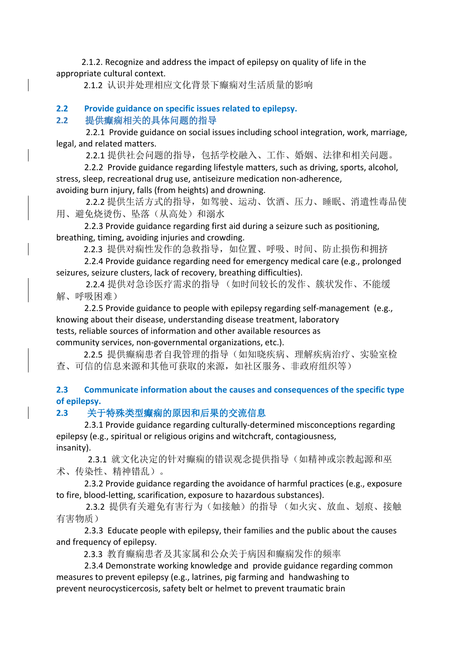2.1.2. Recognize and address the impact of epilepsy on quality of life in the appropriate cultural context.

2.1.2 认识并处理相应文化背景下癫痫对生活质量的影响

# **2.2 Provide guidance on specific issues related to epilepsy.**

### **2.2** 提供癫痫相关的具体问题的指导

 2.2.1 Provide guidance on social issues including school integration, work, marriage, legal, and related matters.

2.2.1 提供社会问题的指导,包括学校融入、工作、婚姻、法律和相关问题。

2.2.2 Provide guidance regarding lifestyle matters, such as driving, sports, alcohol, stress, sleep, recreational drug use, antiseizure medication non-adherence, avoiding burn injury, falls (from heights) and drowning.

2.2.2 提供生活方式的指导,如驾驶、运动、饮酒、压力、睡眠、消遣性毒品使 用、避免烧烫伤、坠落(从高处)和溺水

2.2.3 Provide guidance regarding first aid during a seizure such as positioning, breathing, timing, avoiding injuries and crowding.

2.2.3 提供对痫性发作的急救指导,如位置、呼吸、时间、防止损伤和拥挤

2.2.4 Provide guidance regarding need for emergency medical care (e.g., prolonged seizures, seizure clusters, lack of recovery, breathing difficulties).

 2.2.4 提供对急诊医疗需求的指导 (如时间较长的发作、簇状发作、不能缓 解、呼吸困难)

2.2.5 Provide guidance to people with epilepsy regarding self-management (e.g., knowing about their disease, understanding disease treatment, laboratory tests, reliable sources of information and other available resources as community services, non-governmental organizations, etc.).

 2.2.5 提供癫痫患者自我管理的指导(如知晓疾病、理解疾病治疗、实验室检 查、可信的信息来源和其他可获取的来源,如社区服务、非政府组织等)

# **2.3 Communicate information about the causes and consequences of the specific type of epilepsy.**

# **2.3** 关于特殊类型癫痫的原因和后果的交流信息

2.3.1 Provide guidance regarding culturally-determined misconceptions regarding epilepsy (e.g., spiritual or religious origins and witchcraft, contagiousness, insanity).

 2.3.1 就文化决定的针对癫痫的错误观念提供指导(如精神或宗教起源和巫 术、传染性、精神错乱)。

2.3.2 Provide guidance regarding the avoidance of harmful practices (e.g., exposure to fire, blood-letting, scarification, exposure to hazardous substances).

 2.3.2 提供有关避免有害行为(如接触)的指导 (如火灾、放血、划痕、接触 有害物质)

2.3.3 Educate people with epilepsy, their families and the public about the causes and frequency of epilepsy.

2.3.3 教育癫痫患者及其家属和公众关于病因和癫痫发作的频率

2.3.4 Demonstrate working knowledge and provide guidance regarding common measures to prevent epilepsy (e.g., latrines, pig farming and handwashing to prevent neurocysticercosis, safety belt or helmet to prevent traumatic brain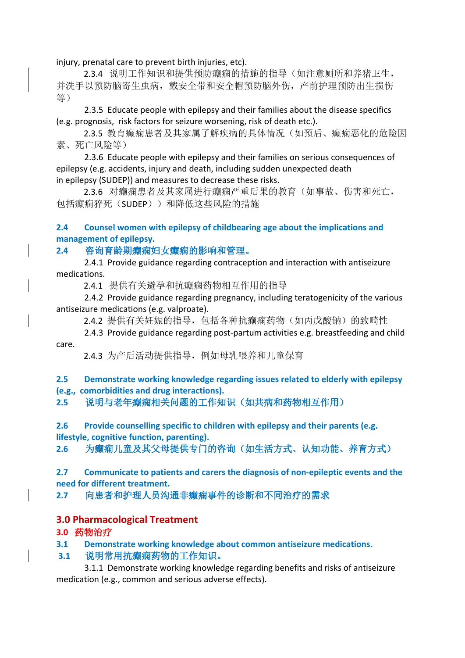injury, prenatal care to prevent birth injuries, etc).

 2.3.4 说明工作知识和提供预防癫痫的措施的指导(如注意厕所和养猪卫生, 并洗手以预防脑寄生虫病,戴安全带和安全帽预防脑外伤,产前护理预防出生损伤 等)

2.3.5 Educate people with epilepsy and their families about the disease specifics (e.g. prognosis, risk factors for seizure worsening, risk of death etc.).

 2.3.5 教育癫痫患者及其家属了解疾病的具体情况(如预后、癫痫恶化的危险因 素、死亡风险等)

2.3.6 Educate people with epilepsy and their families on serious consequences of epilepsy (e.g. accidents, injury and death, including sudden unexpected death in epilepsy (SUDEP)) and measures to decrease these risks.

 2.3.6 对癫痫患者及其家属进行癫痫严重后果的教育(如事故、伤害和死亡, 包括癫痫猝死(SUDEP))和降低这些风险的措施

### **2.4 Counsel women with epilepsy of childbearing age about the implications and management of epilepsy.**

**2.4** 咨询育龄期癫痫妇女癫痫的影响和管理。

2.4.1 Provide guidance regarding contraception and interaction with antiseizure medications.

2.4.1 提供有关避孕和抗癫痫药物相互作用的指导

2.4.2 Provide guidance regarding pregnancy, including teratogenicity of the various antiseizure medications (e.g. valproate).

2.4.2 提供有关妊娠的指导, 包括各种抗癫痫药物(如丙戊酸钠)的致畸性

2.4.3 Provide guidance regarding post-partum activities e.g. breastfeeding and child care.

2.4.3 为产后活动提供指导,例如母乳喂养和儿童保育

**2.5 Demonstrate working knowledge regarding issues related to elderly with epilepsy (e.g., comorbidities and drug interactions).**

**2.5** 说明与老年癫痫相关问题的工作知识(如共病和药物相互作用)

**2.6 Provide counselling specific to children with epilepsy and their parents (e.g. lifestyle, cognitive function, parenting).**

**2.6** 为癫痫儿童及其父母提供专门的咨询(如生活方式、认知功能、养育方式)

**2.7 Communicate to patients and carers the diagnosis of non-epileptic events and the need for different treatment.**

**2.7** 向患者和护理人员沟通非癫痫事件的诊断和不同治疗的需求

# **3.0 Pharmacological Treatment**

# **3.0** 药物治疗

**3.1 Demonstrate working knowledge about common antiseizure medications.**

### **3.1** 说明常用抗癫痫药物的工作知识。

3.1.1 Demonstrate working knowledge regarding benefits and risks of antiseizure medication (e.g., common and serious adverse effects).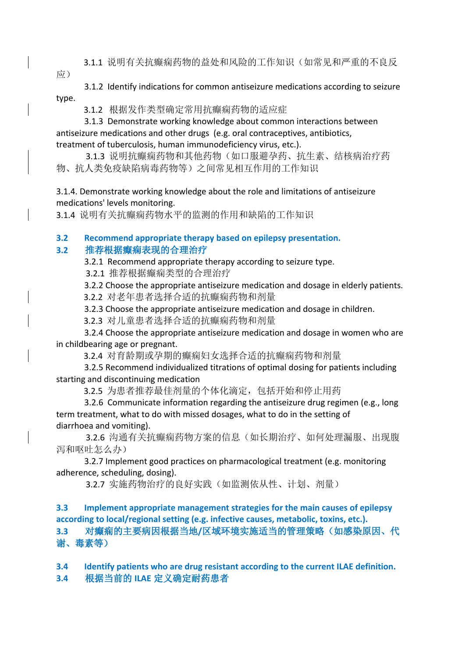- 3.1.1 说明有关抗癫痫药物的益处和风险的工作知识(如常见和严重的不良反
- 应)
- 3.1.2 Identify indications for common antiseizure medications according to seizure type.
	- 3.1.2 根据发作类型确定常用抗癫痫药物的适应症
- 3.1.3 Demonstrate working knowledge about common interactions between antiseizure medications and other drugs (e.g. oral contraceptives, antibiotics, treatment of tuberculosis, human immunodeficiency virus, etc.).
- 3.1.3 说明抗癫痫药物和其他药物(如口服避孕药、抗生素、结核病治疗药 物、抗人类免疫缺陷病毒药物等)之间常见相互作用的工作知识
- 3.1.4. Demonstrate working knowledge about the role and limitations of antiseizure medications' levels monitoring.
- 3.1.4 说明有关抗癫痫药物水平的监测的作用和缺陷的工作知识

### **3.2 Recommend appropriate therapy based on epilepsy presentation.**

# **3.2** 推荐根据癫痫表现的合理治疗

- 3.2.1 Recommend appropriate therapy according to seizure type.
- 3.2.1 推荐根据癫痫类型的合理治疗
- 3.2.2 Choose the appropriate antiseizure medication and dosage in elderly patients.
- 3.2.2 对老年患者选择合适的抗癫痫药物和剂量
- 3.2.3 Choose the appropriate antiseizure medication and dosage in children.
- 3.2.3 对儿童患者选择合适的抗癫痫药物和剂量
- 3.2.4 Choose the appropriate antiseizure medication and dosage in women who are in childbearing age or pregnant.
	- 3.2.4 对育龄期或孕期的癫痫妇女选择合适的抗癫痫药物和剂量
- 3.2.5 Recommend individualized titrations of optimal dosing for patients including starting and discontinuing medication
	- 3.2.5 为患者推荐最佳剂量的个体化滴定,包括开始和停止用药
- 3.2.6 Communicate information regarding the antiseizure drug regimen (e.g., long term treatment, what to do with missed dosages, what to do in the setting of diarrhoea and vomiting).
- 3.2.6 沟通有关抗癫痫药物方案的信息(如长期治疗、如何处理漏服、出现腹 泻和呕吐怎么办)
- 3.2.7 Implement good practices on pharmacological treatment (e.g. monitoring adherence, scheduling, dosing).
	- 3.2.7 实施药物治疗的良好实践(如监测依从性、计划、剂量)
- **3.3 Implement appropriate management strategies for the main causes of epilepsy according to local/regional setting (e.g. infective causes, metabolic, toxins, etc.). 3.3** 对癫痫的主要病因根据当地**/**区域环境实施适当的管理策略(如感染原因、代 谢、毒素等)
- **3.4 Identify patients who are drug resistant according to the current ILAE definition. 3.4** 根据当前的 **ILAE** 定义确定耐药患者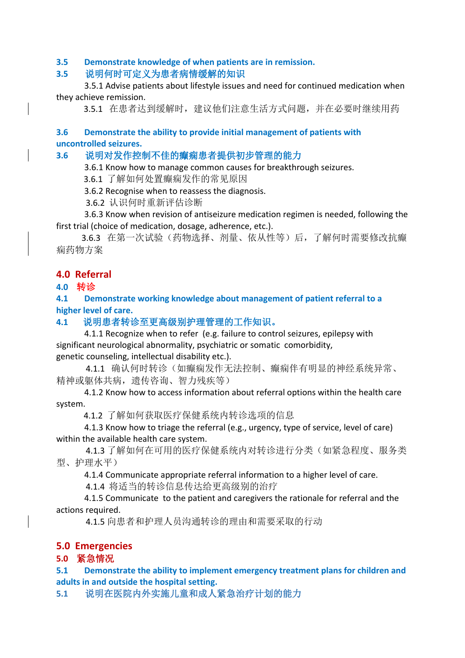#### **3.5 Demonstrate knowledge of when patients are in remission.**

### **3.5** 说明何时可定义为患者病情缓解的知识

3.5.1 Advise patients about lifestyle issues and need for continued medication when they achieve remission.

3.5.1 在患者达到缓解时,建议他们注意生活方式问题,并在必要时继续用药

#### **3.6 Demonstrate the ability to provide initial management of patients with uncontrolled seizures.**

#### **3.6** 说明对发作控制不佳的癫痫患者提供初步管理的能力

3.6.1 Know how to manage common causes for breakthrough seizures.

3.6.1 了解如何处置癫痫发作的常见原因

3.6.2 Recognise when to reassess the diagnosis.

3.6.2 认识何时重新评估诊断

3.6.3 Know when revision of antiseizure medication regimen is needed, following the first trial (choice of medication, dosage, adherence, etc.).

 3.6.3 在第一次试验(药物选择、剂量、依从性等)后,了解何时需要修改抗癫 痫药物方案

### **4.0 Referral**

### **4.0** 转诊

**4.1 Demonstrate working knowledge about management of patient referral to a higher level of care.**

### **4.1** 说明患者转诊至更高级别护理管理的工作知识。

4.1.1 Recognize when to refer (e.g. failure to control seizures, epilepsy with significant neurological abnormality, psychiatric or somatic comorbidity, genetic counseling, intellectual disability etc.).

 4.1.1 确认何时转诊(如癫痫发作无法控制、癫痫伴有明显的神经系统异常、 精神或躯体共病,遗传咨询、智力残疾等)

4.1.2 Know how to access information about referral options within the health care system.

4.1.2 了解如何获取医疗保健系统内转诊选项的信息

4.1.3 Know how to triage the referral (e.g., urgency, type of service, level of care) within the available health care system.

 4.1.3 了解如何在可用的医疗保健系统内对转诊进行分类(如紧急程度、服务类 型、护理水平)

4.1.4 Communicate appropriate referral information to a higher level of care.

4.1.4 将适当的转诊信息传达给更高级别的治疗

4.1.5 Communicate to the patient and caregivers the rationale for referral and the actions required.

4.1.5 向患者和护理人员沟通转诊的理由和需要采取的行动

# **5.0 Emergencies**

# **5.0** 紧急情况

**5.1 Demonstrate the ability to implement emergency treatment plans for children and adults in and outside the hospital setting.**

**5.1** 说明在医院内外实施儿童和成人紧急治疗计划的能力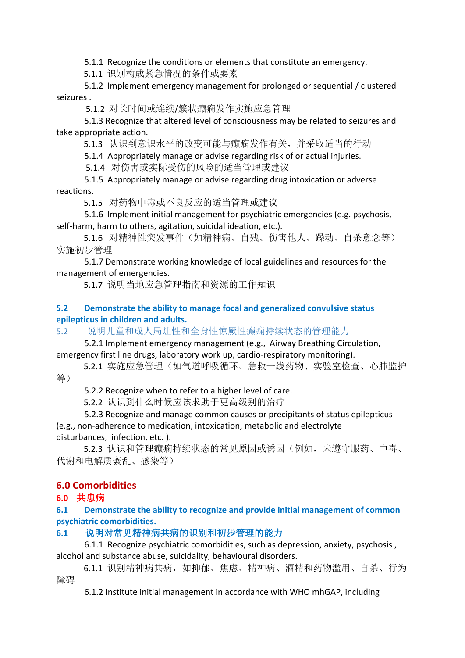5.1.1 Recognize the conditions or elements that constitute an emergency.

5.1.1 识别构成紧急情况的条件或要素

5.1.2 Implement emergency management for prolonged or sequential / clustered seizures .

5.1.2 对长时间或连续/簇状癫痫发作实施应急管理

5.1.3 Recognize that altered level of consciousness may be related to seizures and take appropriate action.

5.1.3 认识到意识水平的改变可能与癫痫发作有关,并采取适当的行动

5.1.4 Appropriately manage or advise regarding risk of or actual injuries.

5.1.4 对伤害或实际受伤的风险的适当管理或建议

5.1.5 Appropriately manage or advise regarding drug intoxication or adverse reactions.

5.1.5 对药物中毒或不良反应的适当管理或建议

5.1.6 Implement initial management for psychiatric emergencies (e.g. psychosis, self-harm, harm to others, agitation, suicidal ideation, etc.).

 5.1.6 对精神性突发事件(如精神病、自残、伤害他人、躁动、自杀意念等) 实施初步管理

5.1.7 Demonstrate working knowledge of local guidelines and resources for the management of emergencies.

5.1.7 说明当地应急管理指南和资源的工作知识

### **5.2 Demonstrate the ability to manage focal and generalized convulsive status epilepticus in children and adults.**

5.2 说明儿童和成人局灶性和全身性惊厥性癫痫持续状态的管理能力

5.2.1 Implement emergency management (e.g., Airway Breathing Circulation, emergency first line drugs, laboratory work up, cardio-respiratory monitoring).

5.2.1 实施应急管理(如气道呼吸循环、急救一线药物、实验室检查、心肺监护 等)

5.2.2 Recognize when to refer to a higher level of care.

5.2.2 认识到什么时候应该求助于更高级别的治疗

5.2.3 Recognize and manage common causes or precipitants of status epilepticus (e.g., non-adherence to medication, intoxication, metabolic and electrolyte disturbances, infection, etc. ).

 5.2.3 认识和管理癫痫持续状态的常见原因或诱因(例如,未遵守服药、中毒、 代谢和电解质紊乱、感染等)

# **6.0 Comorbidities**

# **6.0** 共患病

**6.1 Demonstrate the ability to recognize and provide initial management of common psychiatric comorbidities.**

# **6.1** 说明对常见精神病共病的识别和初步管理的能力

6.1.1 Recognize psychiatric comorbidities, such as depression, anxiety, psychosis , alcohol and substance abuse, suicidality, behavioural disorders.

6.1.1 识别精神病共病, 如抑郁、焦虑、精神病、酒精和药物滥用、自杀、行为 障碍

6.1.2 Institute initial management in accordance with WHO mhGAP, including